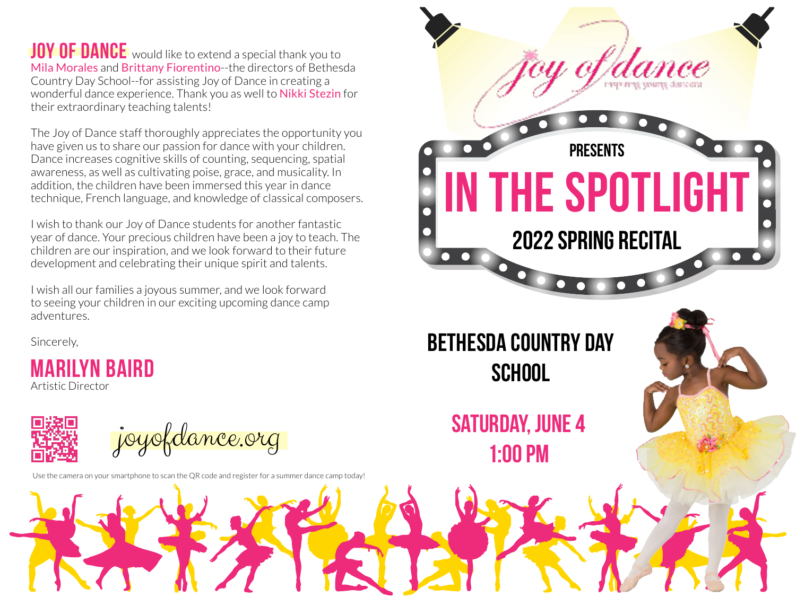**JOY OF DANCE** would like to extend a special thank you to Mila Morales and Brittany Fiorentino--the directors of Bethesda Country Day School--for assisting Joy of Dance in creating a wonderful dance experience. Thank you as well to Nikki Stezin for their extraordinary teaching talents!

The Joy of Dance staff thoroughly appreciates the opportunity you have given us to share our passion for dance with your children. Dance increases cognitive skills of counting, sequencing, spatial awareness, as well as cultivating poise, grace, and musicality. In addition, the children have been immersed this year in dance technique, French language, and knowledge of classical composers.

I wish to thank our Joy of Dance students for another fantastic year of dance. Your precious children have been a joy to teach. The children are our inspiration, and we look forward to their future development and celebrating their unique spirit and talents.

I wish all our families a joyous summer, and we look forward to seeing your children in our exciting upcoming dance camp adventures.

Sincerely,

**Marilyn Baird** Artistic Director



Use the camera on your smartphone to scan the QR code and register for a summer dance camp today!